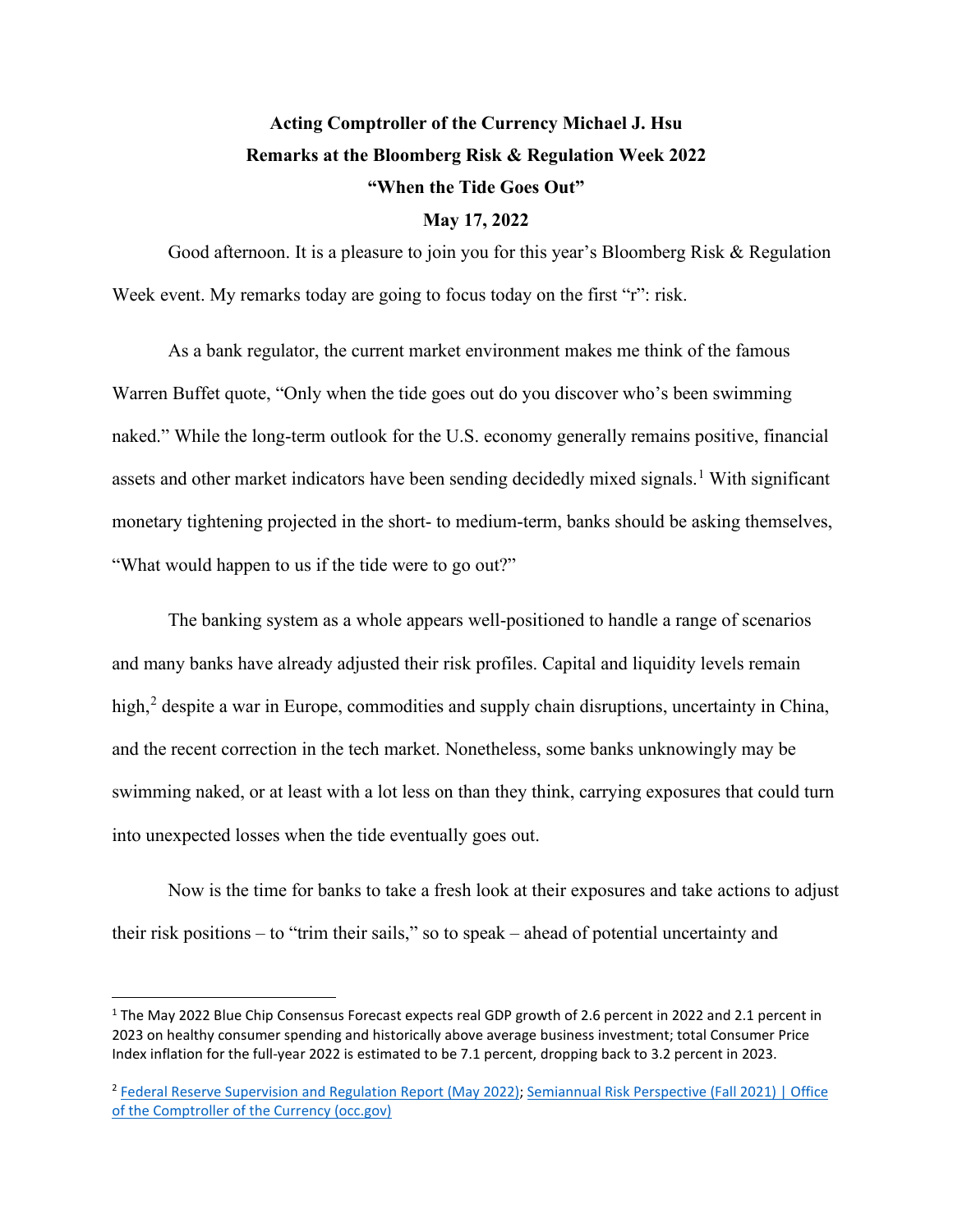# **Acting Comptroller of the Currency Michael J. Hsu Remarks at the Bloomberg Risk & Regulation Week 2022 "When the Tide Goes Out"**

# **May 17, 2022**

Good afternoon. It is a pleasure to join you for this year's Bloomberg Risk & Regulation Week event. My remarks today are going to focus today on the first "r": risk.

As a bank regulator, the current market environment makes me think of the famous Warren Buffet quote, "Only when the tide goes out do you discover who's been swimming naked." While the long-term outlook for the U.S. economy generally remains positive, financial assets and other market indicators have been sending decidedly mixed signals.<sup>[1](#page-0-0)</sup> With significant monetary tightening projected in the short- to medium-term, banks should be asking themselves, "What would happen to us if the tide were to go out?"

The banking system as a whole appears well-positioned to handle a range of scenarios and many banks have already adjusted their risk profiles. Capital and liquidity levels remain high,<sup>[2](#page-0-1)</sup> despite a war in Europe, commodities and supply chain disruptions, uncertainty in China, and the recent correction in the tech market. Nonetheless, some banks unknowingly may be swimming naked, or at least with a lot less on than they think, carrying exposures that could turn into unexpected losses when the tide eventually goes out.

Now is the time for banks to take a fresh look at their exposures and take actions to adjust their risk positions – to "trim their sails," so to speak – ahead of potential uncertainty and

<span id="page-0-0"></span><sup>1</sup> The May 2022 Blue Chip Consensus Forecast expects real GDP growth of 2.6 percent in 2022 and 2.1 percent in 2023 on healthy consumer spending and historically above average business investment; total Consumer Price Index inflation for the full-year 2022 is estimated to be 7.1 percent, dropping back to 3.2 percent in 2023.

<span id="page-0-1"></span><sup>&</sup>lt;sup>2</sup> [Federal Reserve Supervision and Regulation Report \(May 2022\);](https://www.federalreserve.gov/publications/2022-may-supervision-and-regulation-report.htm) Semiannual Risk Perspective (Fall 2021) | Office [of the Comptroller of the Currency \(occ.gov\)](https://www.occ.gov/publications-and-resources/publications/semiannual-risk-perspective/files/semiannual-risk-perspective-fall-2021.html)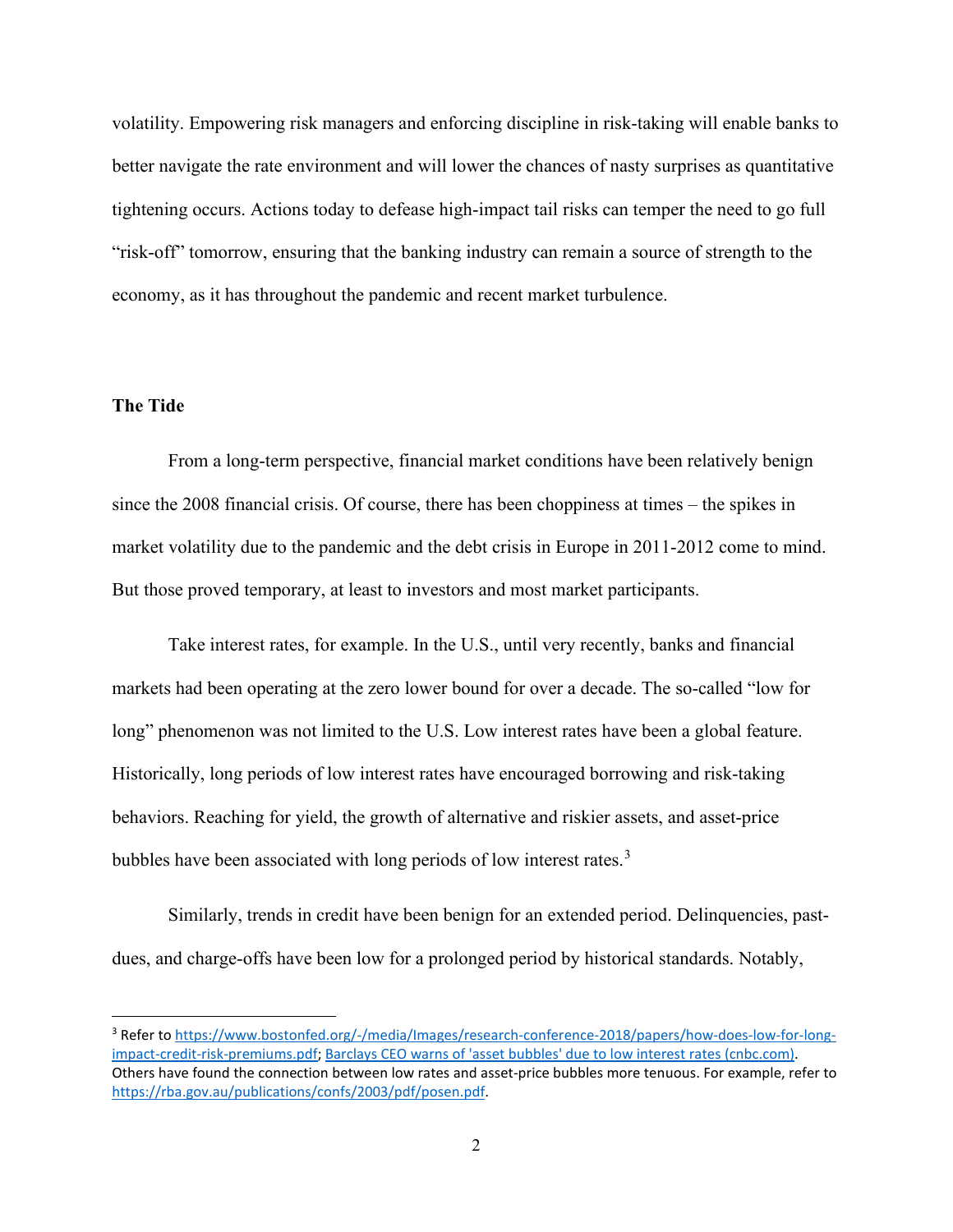volatility. Empowering risk managers and enforcing discipline in risk-taking will enable banks to better navigate the rate environment and will lower the chances of nasty surprises as quantitative tightening occurs. Actions today to defease high-impact tail risks can temper the need to go full "risk-off" tomorrow, ensuring that the banking industry can remain a source of strength to the economy, as it has throughout the pandemic and recent market turbulence.

# **The Tide**

From a long-term perspective, financial market conditions have been relatively benign since the 2008 financial crisis. Of course, there has been choppiness at times – the spikes in market volatility due to the pandemic and the debt crisis in Europe in 2011-2012 come to mind. But those proved temporary, at least to investors and most market participants.

Take interest rates, for example. In the U.S., until very recently, banks and financial markets had been operating at the zero lower bound for over a decade. The so-called "low for long" phenomenon was not limited to the U.S. Low interest rates have been a global feature. Historically, long periods of low interest rates have encouraged borrowing and risk-taking behaviors. Reaching for yield, the growth of alternative and riskier assets, and asset-price bubbles have been associated with long periods of low interest rates.<sup>[3](#page-1-0)</sup>

Similarly, trends in credit have been benign for an extended period. Delinquencies, pastdues, and charge-offs have been low for a prolonged period by historical standards. Notably,

<span id="page-1-0"></span><sup>3</sup> Refer t[o https://www.bostonfed.org/-/media/Images/research-conference-2018/papers/how-does-low-for-long](https://www.bostonfed.org/-/media/Images/research-conference-2018/papers/how-does-low-for-long-impact-credit-risk-premiums.pdf)[impact-credit-risk-premiums.pdf;](https://www.bostonfed.org/-/media/Images/research-conference-2018/papers/how-does-low-for-long-impact-credit-risk-premiums.pdf) [Barclays CEO warns of 'asset bubbles' due to low interest rates \(cnbc.com\).](https://www.cnbc.com/2019/08/01/barclays-ceo-warns-of-asset-bubbles-due-to-low-interest-rates.html) Others have found the connection between low rates and asset-price bubbles more tenuous. For example, refer to [https://rba.gov.au/publications/confs/2003/pdf/posen.pdf.](https://rba.gov.au/publications/confs/2003/pdf/posen.pdf)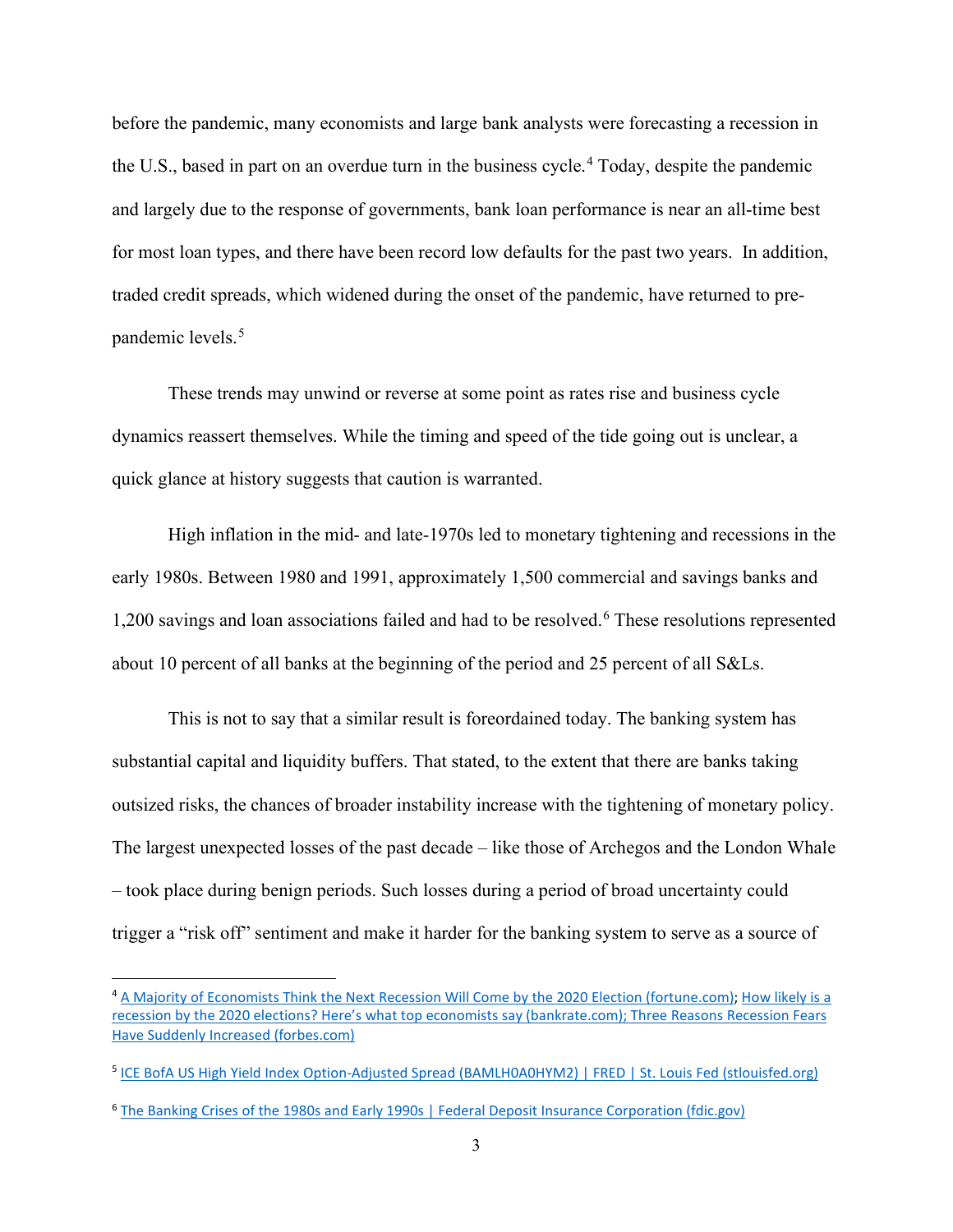before the pandemic, many economists and large bank analysts were forecasting a recession in the U.S., based in part on an overdue turn in the business cycle.[4](#page-2-0) Today, despite the pandemic and largely due to the response of governments, bank loan performance is near an all-time best for most loan types, and there have been record low defaults for the past two years. In addition, traded credit spreads, which widened during the onset of the pandemic, have returned to pre-pandemic levels.<sup>[5](#page-2-1)</sup>

These trends may unwind or reverse at some point as rates rise and business cycle dynamics reassert themselves. While the timing and speed of the tide going out is unclear, a quick glance at history suggests that caution is warranted.

High inflation in the mid- and late-1970s led to monetary tightening and recessions in the early 1980s. Between 1980 and 1991, approximately 1,500 commercial and savings banks and 1,200 savings and loan associations failed and had to be resolved.<sup>[6](#page-2-2)</sup> These resolutions represented about 10 percent of all banks at the beginning of the period and 25 percent of all S&Ls.

This is not to say that a similar result is foreordained today. The banking system has substantial capital and liquidity buffers. That stated, to the extent that there are banks taking outsized risks, the chances of broader instability increase with the tightening of monetary policy. The largest unexpected losses of the past decade – like those of Archegos and the London Whale – took place during benign periods. Such losses during a period of broad uncertainty could trigger a "risk off" sentiment and make it harder for the banking system to serve as a source of

<span id="page-2-0"></span><sup>&</sup>lt;sup>4</sup> [A Majority of Economists Think the Next Recession Will Come by the 2020 Election \(fortune.com\);](https://fortune.com/2019/06/04/next-recession-2020-predictions/) How likely is a recession by the 2020 elections? Here's what [top economists say \(bankrate.com\); Three Reasons Recession Fears](https://www.bankrate.com/surveys/economists-survey-what-they-said-september-2019/)  [Have Suddenly Increased \(forbes.com\)](https://www.forbes.com/sites/lisettevoytko/2019/08/13/three-reasons-recession-fears-have-suddenly-increased/?sh=4f3f60bb1bb7)

<span id="page-2-1"></span><sup>5</sup> [ICE BofA US High Yield Index Option-Adjusted Spread \(BAMLH0A0HYM2\) | FRED | St. Louis Fed \(stlouisfed.org\)](https://fred.stlouisfed.org/series/BAMLH0A0HYM2)

<span id="page-2-2"></span><sup>6</sup> [The Banking Crises of the 1980s and Early 1990s | Federal Deposit Insurance Corporation \(fdic.gov\)](https://www.fdic.gov/bank/historical/history/3_85.pdf)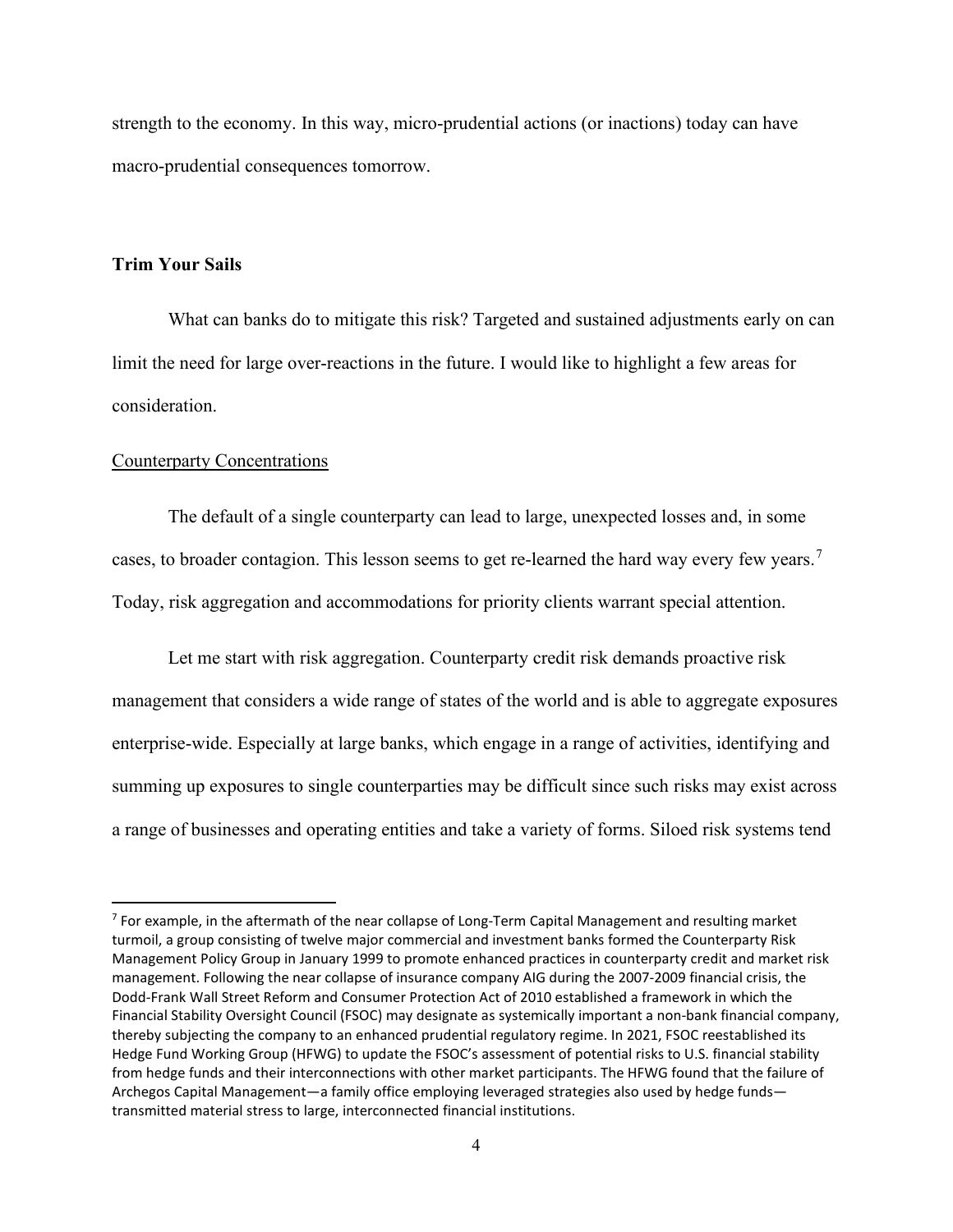strength to the economy. In this way, micro-prudential actions (or inactions) today can have macro-prudential consequences tomorrow.

# **Trim Your Sails**

What can banks do to mitigate this risk? Targeted and sustained adjustments early on can limit the need for large over-reactions in the future. I would like to highlight a few areas for consideration.

#### Counterparty Concentrations

The default of a single counterparty can lead to large, unexpected losses and, in some cases, to broader contagion. This lesson seems to get re-learned the hard way every few years.<sup>[7](#page-3-0)</sup> Today, risk aggregation and accommodations for priority clients warrant special attention.

Let me start with risk aggregation. Counterparty credit risk demands proactive risk management that considers a wide range of states of the world and is able to aggregate exposures enterprise-wide. Especially at large banks, which engage in a range of activities, identifying and summing up exposures to single counterparties may be difficult since such risks may exist across a range of businesses and operating entities and take a variety of forms. Siloed risk systems tend

<span id="page-3-0"></span> $<sup>7</sup>$  For example, in the aftermath of the near collapse of Long-Term Capital Management and resulting market</sup> turmoil, a group consisting of twelve major commercial and investment banks formed the Counterparty Risk Management Policy Group in January 1999 to promote enhanced practices in counterparty credit and market risk management. Following the near collapse of insurance company AIG during the 2007-2009 financial crisis, the Dodd-Frank Wall Street Reform and Consumer Protection Act of 2010 established a framework in which the Financial Stability Oversight Council (FSOC) may designate as systemically important a non-bank financial company, thereby subjecting the company to an enhanced prudential regulatory regime. In 2021, FSOC reestablished its Hedge Fund Working Group (HFWG) to update the FSOC's assessment of potential risks to U.S. financial stability from hedge funds and their interconnections with other market participants. The HFWG found that the failure of Archegos Capital Management—a family office employing leveraged strategies also used by hedge funds transmitted material stress to large, interconnected financial institutions.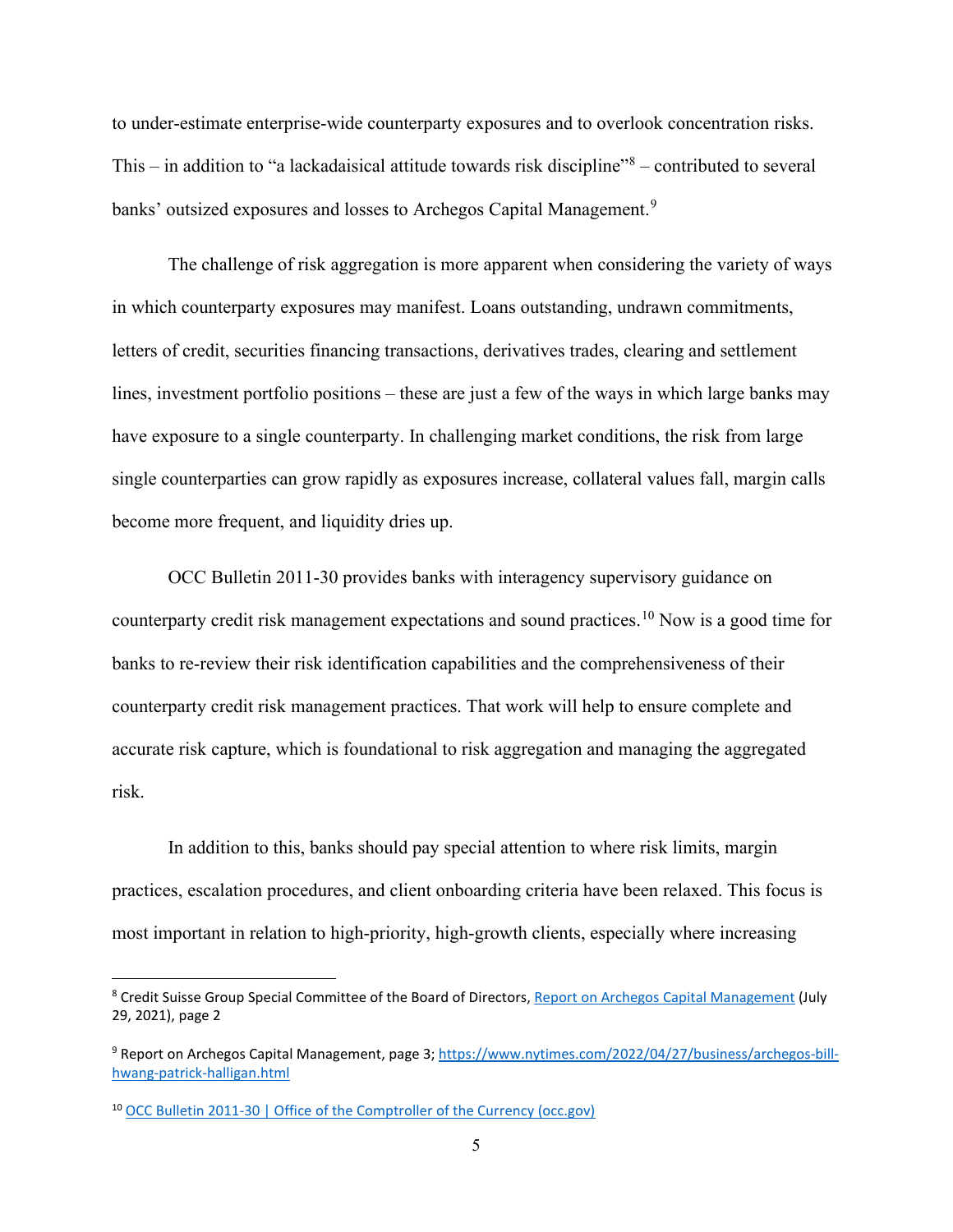to under-estimate enterprise-wide counterparty exposures and to overlook concentration risks. This – in addition to "a lackadaisical attitude towards risk discipline" $8$  – contributed to several banks' outsized exposures and losses to Archegos Capital Management.<sup>[9](#page-4-1)</sup>

The challenge of risk aggregation is more apparent when considering the variety of ways in which counterparty exposures may manifest. Loans outstanding, undrawn commitments, letters of credit, securities financing transactions, derivatives trades, clearing and settlement lines, investment portfolio positions – these are just a few of the ways in which large banks may have exposure to a single counterparty. In challenging market conditions, the risk from large single counterparties can grow rapidly as exposures increase, collateral values fall, margin calls become more frequent, and liquidity dries up.

OCC Bulletin 2011-30 provides banks with interagency supervisory guidance on counterparty credit risk management expectations and sound practices.[10](#page-4-2) Now is a good time for banks to re-review their risk identification capabilities and the comprehensiveness of their counterparty credit risk management practices. That work will help to ensure complete and accurate risk capture, which is foundational to risk aggregation and managing the aggregated risk.

In addition to this, banks should pay special attention to where risk limits, margin practices, escalation procedures, and client onboarding criteria have been relaxed. This focus is most important in relation to high-priority, high-growth clients, especially where increasing

<span id="page-4-0"></span><sup>&</sup>lt;sup>8</sup> Credit Suisse Group Special Committee of the Board of Directors[, Report on Archegos Capital Management](https://www.credit-suisse.com/media/assets/corporate/docs/about-us/investor-relations/financial-disclosures/results/csg-special-committee-bod-report-archegos.pdf) (July 29, 2021), page 2

<span id="page-4-1"></span><sup>9</sup> Report on Archegos Capital Management, page 3; [https://www.nytimes.com/2022/04/27/business/archegos-bill](https://www.nytimes.com/2022/04/27/business/archegos-bill-hwang-patrick-halligan.html)[hwang-patrick-halligan.html](https://www.nytimes.com/2022/04/27/business/archegos-bill-hwang-patrick-halligan.html)

<span id="page-4-2"></span><sup>10</sup> [OCC Bulletin 2011-30 | Office of the Comptroller of the Currency \(occ.gov\)](https://www.occ.gov/news-issuances/bulletins/2011/bulletin-2011-30.html)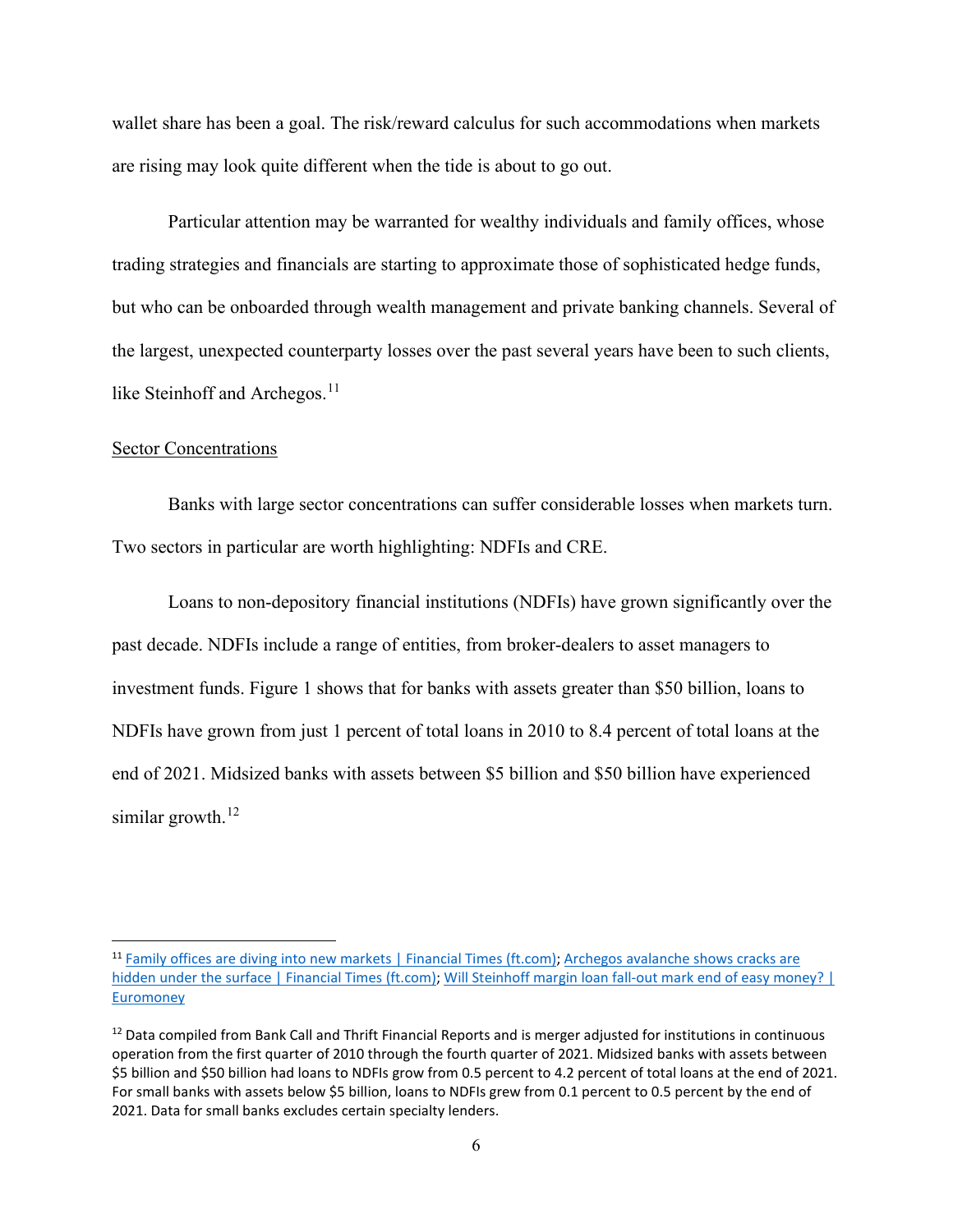wallet share has been a goal. The risk/reward calculus for such accommodations when markets are rising may look quite different when the tide is about to go out.

Particular attention may be warranted for wealthy individuals and family offices, whose trading strategies and financials are starting to approximate those of sophisticated hedge funds, but who can be onboarded through wealth management and private banking channels. Several of the largest, unexpected counterparty losses over the past several years have been to such clients, like Steinhoff and Archegos.<sup>[11](#page-5-0)</sup>

#### Sector Concentrations

Banks with large sector concentrations can suffer considerable losses when markets turn. Two sectors in particular are worth highlighting: NDFIs and CRE.

Loans to non-depository financial institutions (NDFIs) have grown significantly over the past decade. NDFIs include a range of entities, from broker-dealers to asset managers to investment funds. Figure 1 shows that for banks with assets greater than \$50 billion, loans to NDFIs have grown from just 1 percent of total loans in 2010 to 8.4 percent of total loans at the end of 2021. Midsized banks with assets between \$5 billion and \$50 billion have experienced similar growth. $12$ 

<span id="page-5-0"></span><sup>&</sup>lt;sup>11</sup> [Family offices are diving into new markets | Financial Times \(ft.com\);](https://www.ft.com/content/dd01c02a-b45f-11e9-8cb2-799a3a8cf37b) Archegos avalanche shows cracks are [hidden under the surface | Financial Times \(ft.com\);](https://www.ft.com/content/4459a6b2-b842-4d21-b19b-bda138a5bfdf) Will Steinhoff margin loan fall-out mark end of easy money? | [Euromoney](https://www.euromoney.com/article/b174wy2qd17rlt/will-steinhoff-margin-loan-fall-out-mark-end-of-easy-money)

<span id="page-5-1"></span> $12$  Data compiled from Bank Call and Thrift Financial Reports and is merger adjusted for institutions in continuous operation from the first quarter of 2010 through the fourth quarter of 2021. Midsized banks with assets between \$5 billion and \$50 billion had loans to NDFIs grow from 0.5 percent to 4.2 percent of total loans at the end of 2021. For small banks with assets below \$5 billion, loans to NDFIs grew from 0.1 percent to 0.5 percent by the end of 2021. Data for small banks excludes certain specialty lenders.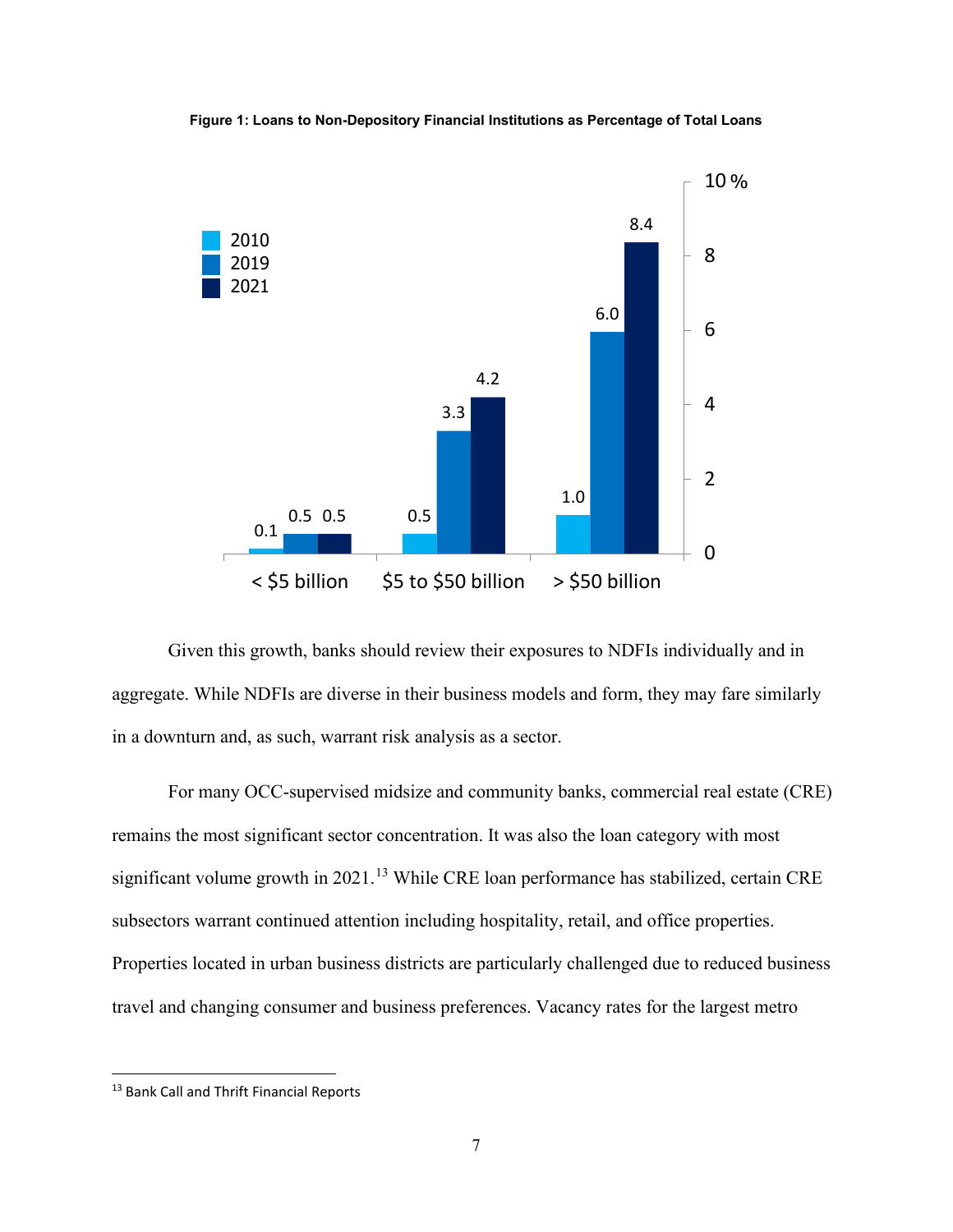

**Figure 1: Loans to Non-Depository Financial Institutions as Percentage of Total Loans**

Given this growth, banks should review their exposures to NDFIs individually and in aggregate. While NDFIs are diverse in their business models and form, they may fare similarly in a downturn and, as such, warrant risk analysis as a sector.

For many OCC-supervised midsize and community banks, commercial real estate (CRE) remains the most significant sector concentration. It was also the loan category with most significant volume growth in  $2021$ .<sup>[13](#page-6-0)</sup> While CRE loan performance has stabilized, certain CRE subsectors warrant continued attention including hospitality, retail, and office properties. Properties located in urban business districts are particularly challenged due to reduced business travel and changing consumer and business preferences. Vacancy rates for the largest metro

<span id="page-6-0"></span><sup>13</sup> Bank Call and Thrift Financial Reports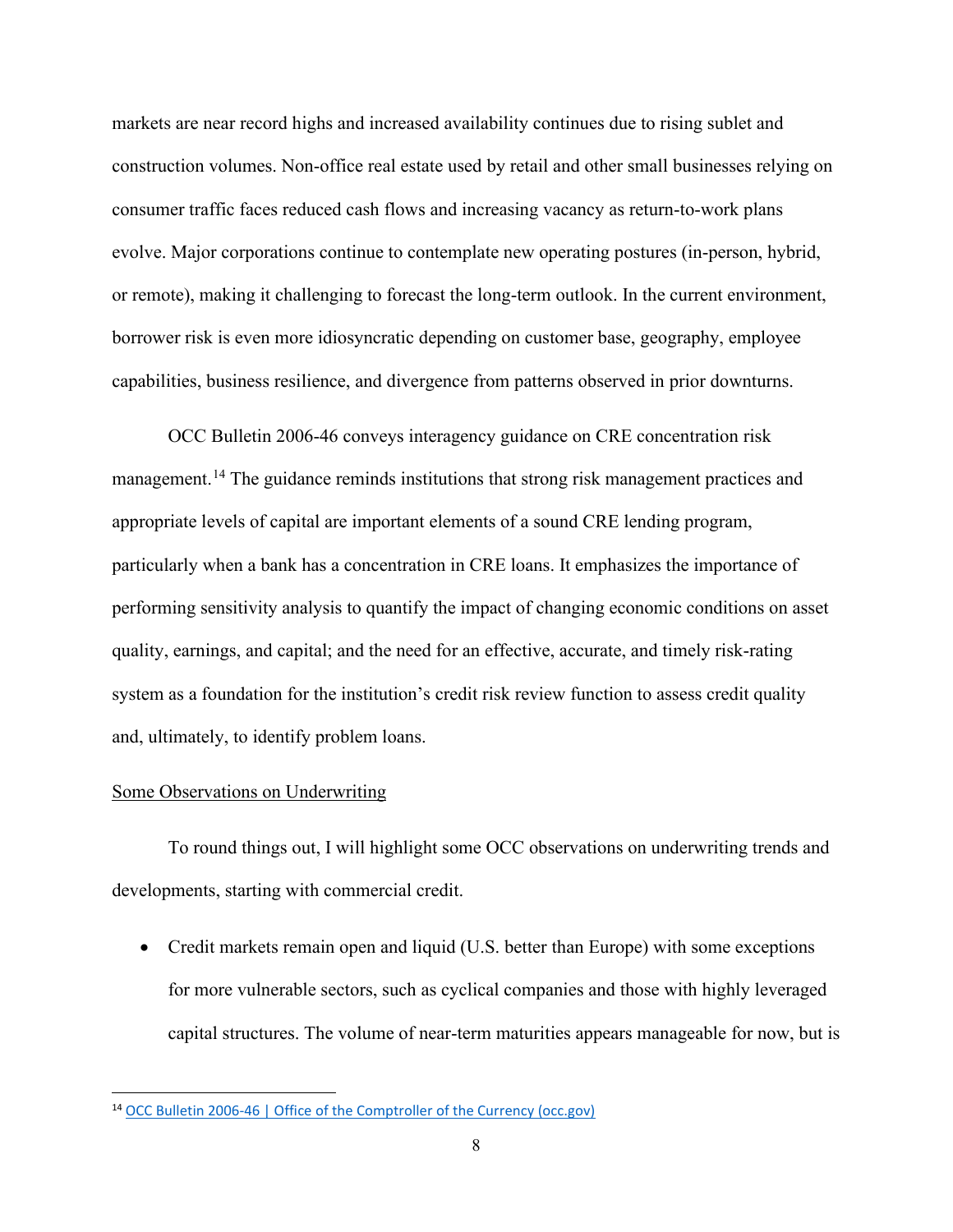markets are near record highs and increased availability continues due to rising sublet and construction volumes. Non-office real estate used by retail and other small businesses relying on consumer traffic faces reduced cash flows and increasing vacancy as return-to-work plans evolve. Major corporations continue to contemplate new operating postures (in-person, hybrid, or remote), making it challenging to forecast the long-term outlook. In the current environment, borrower risk is even more idiosyncratic depending on customer base, geography, employee capabilities, business resilience, and divergence from patterns observed in prior downturns.

OCC Bulletin 2006-46 conveys interagency guidance on CRE concentration risk management.<sup>[14](#page-7-0)</sup> The guidance reminds institutions that strong risk management practices and appropriate levels of capital are important elements of a sound CRE lending program, particularly when a bank has a concentration in CRE loans. It emphasizes the importance of performing sensitivity analysis to quantify the impact of changing economic conditions on asset quality, earnings, and capital; and the need for an effective, accurate, and timely risk-rating system as a foundation for the institution's credit risk review function to assess credit quality and, ultimately, to identify problem loans.

# Some Observations on Underwriting

To round things out, I will highlight some OCC observations on underwriting trends and developments, starting with commercial credit.

• Credit markets remain open and liquid (U.S. better than Europe) with some exceptions for more vulnerable sectors, such as cyclical companies and those with highly leveraged capital structures. The volume of near-term maturities appears manageable for now, but is

<span id="page-7-0"></span><sup>14</sup> [OCC Bulletin 2006-46 | Office of the Comptroller of the Currency \(occ.gov\)](https://www.occ.gov/news-issuances/bulletins/2006/bulletin-2006-46.html)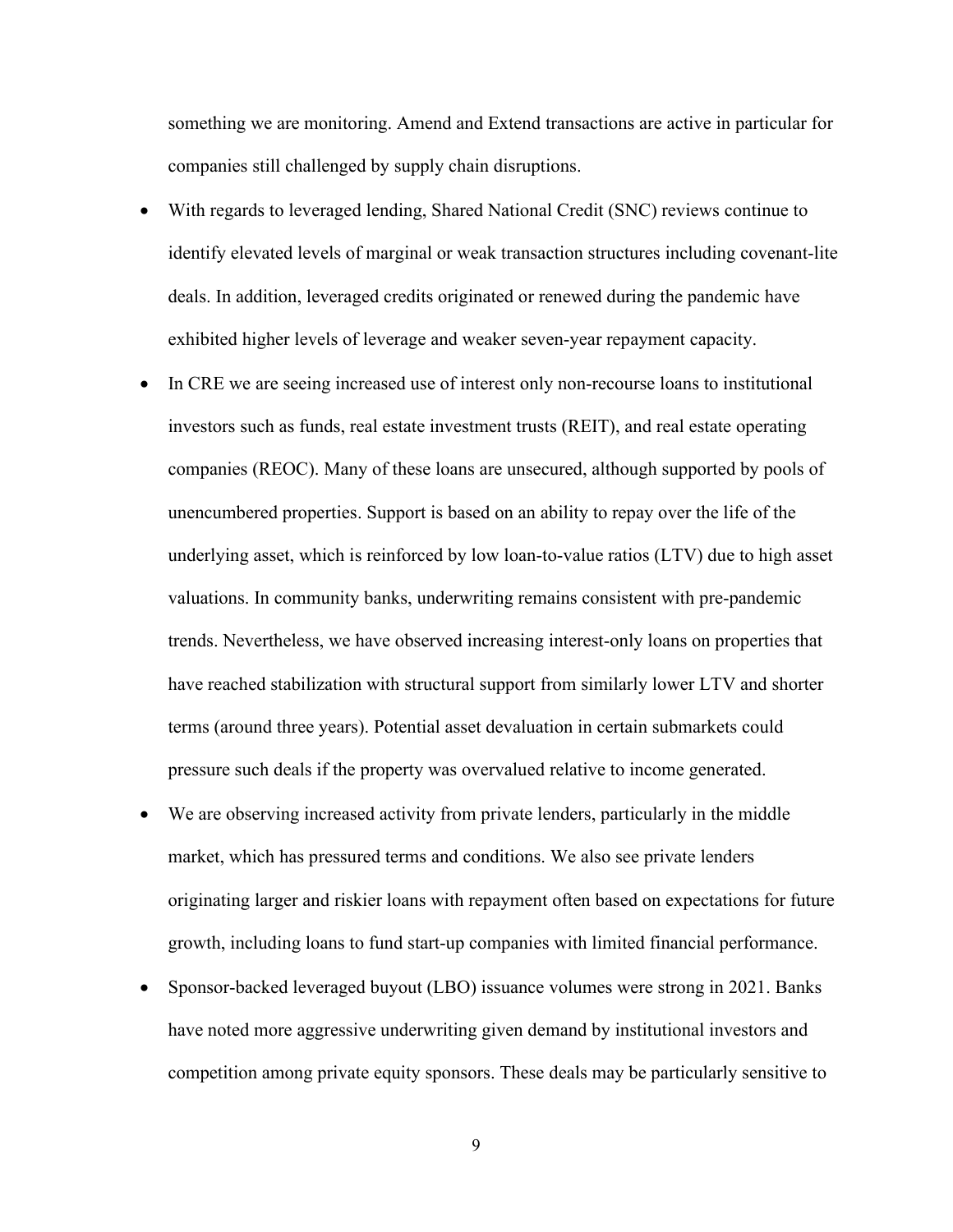something we are monitoring. Amend and Extend transactions are active in particular for companies still challenged by supply chain disruptions.

- With regards to leveraged lending, Shared National Credit (SNC) reviews continue to identify elevated levels of marginal or weak transaction structures including covenant-lite deals. In addition, leveraged credits originated or renewed during the pandemic have exhibited higher levels of leverage and weaker seven-year repayment capacity.
- In CRE we are seeing increased use of interest only non-recourse loans to institutional investors such as funds, real estate investment trusts (REIT), and real estate operating companies (REOC). Many of these loans are unsecured, although supported by pools of unencumbered properties. Support is based on an ability to repay over the life of the underlying asset, which is reinforced by low loan-to-value ratios (LTV) due to high asset valuations. In community banks, underwriting remains consistent with pre-pandemic trends. Nevertheless, we have observed increasing interest-only loans on properties that have reached stabilization with structural support from similarly lower LTV and shorter terms (around three years). Potential asset devaluation in certain submarkets could pressure such deals if the property was overvalued relative to income generated.
- We are observing increased activity from private lenders, particularly in the middle market, which has pressured terms and conditions. We also see private lenders originating larger and riskier loans with repayment often based on expectations for future growth, including loans to fund start-up companies with limited financial performance.
- Sponsor-backed leveraged buyout (LBO) issuance volumes were strong in 2021. Banks have noted more aggressive underwriting given demand by institutional investors and competition among private equity sponsors. These deals may be particularly sensitive to

9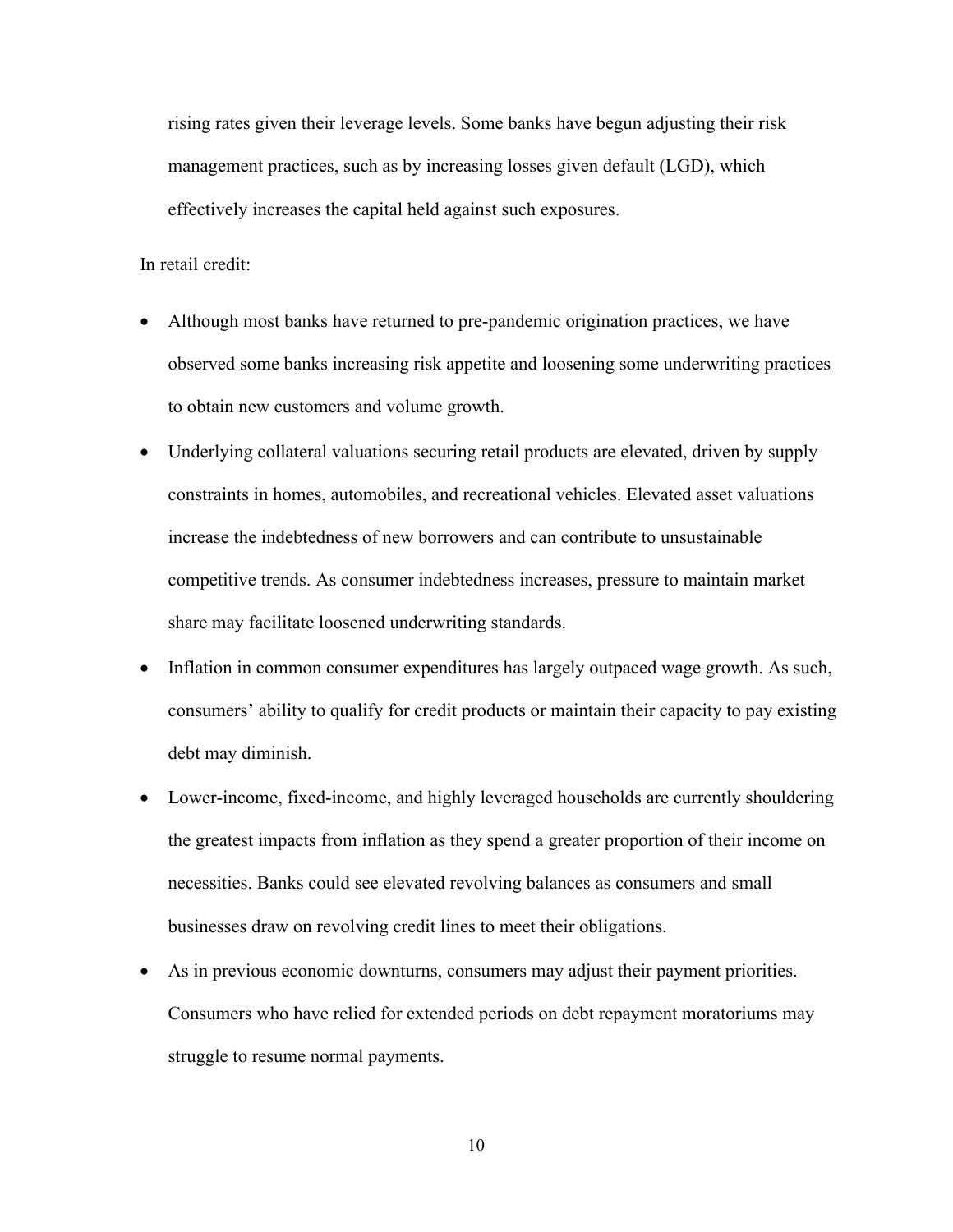rising rates given their leverage levels. Some banks have begun adjusting their risk management practices, such as by increasing losses given default (LGD), which effectively increases the capital held against such exposures.

In retail credit:

- Although most banks have returned to pre-pandemic origination practices, we have observed some banks increasing risk appetite and loosening some underwriting practices to obtain new customers and volume growth.
- Underlying collateral valuations securing retail products are elevated, driven by supply constraints in homes, automobiles, and recreational vehicles. Elevated asset valuations increase the indebtedness of new borrowers and can contribute to unsustainable competitive trends. As consumer indebtedness increases, pressure to maintain market share may facilitate loosened underwriting standards.
- Inflation in common consumer expenditures has largely outpaced wage growth. As such, consumers' ability to qualify for credit products or maintain their capacity to pay existing debt may diminish.
- Lower-income, fixed-income, and highly leveraged households are currently shouldering the greatest impacts from inflation as they spend a greater proportion of their income on necessities. Banks could see elevated revolving balances as consumers and small businesses draw on revolving credit lines to meet their obligations.
- As in previous economic downturns, consumers may adjust their payment priorities. Consumers who have relied for extended periods on debt repayment moratoriums may struggle to resume normal payments.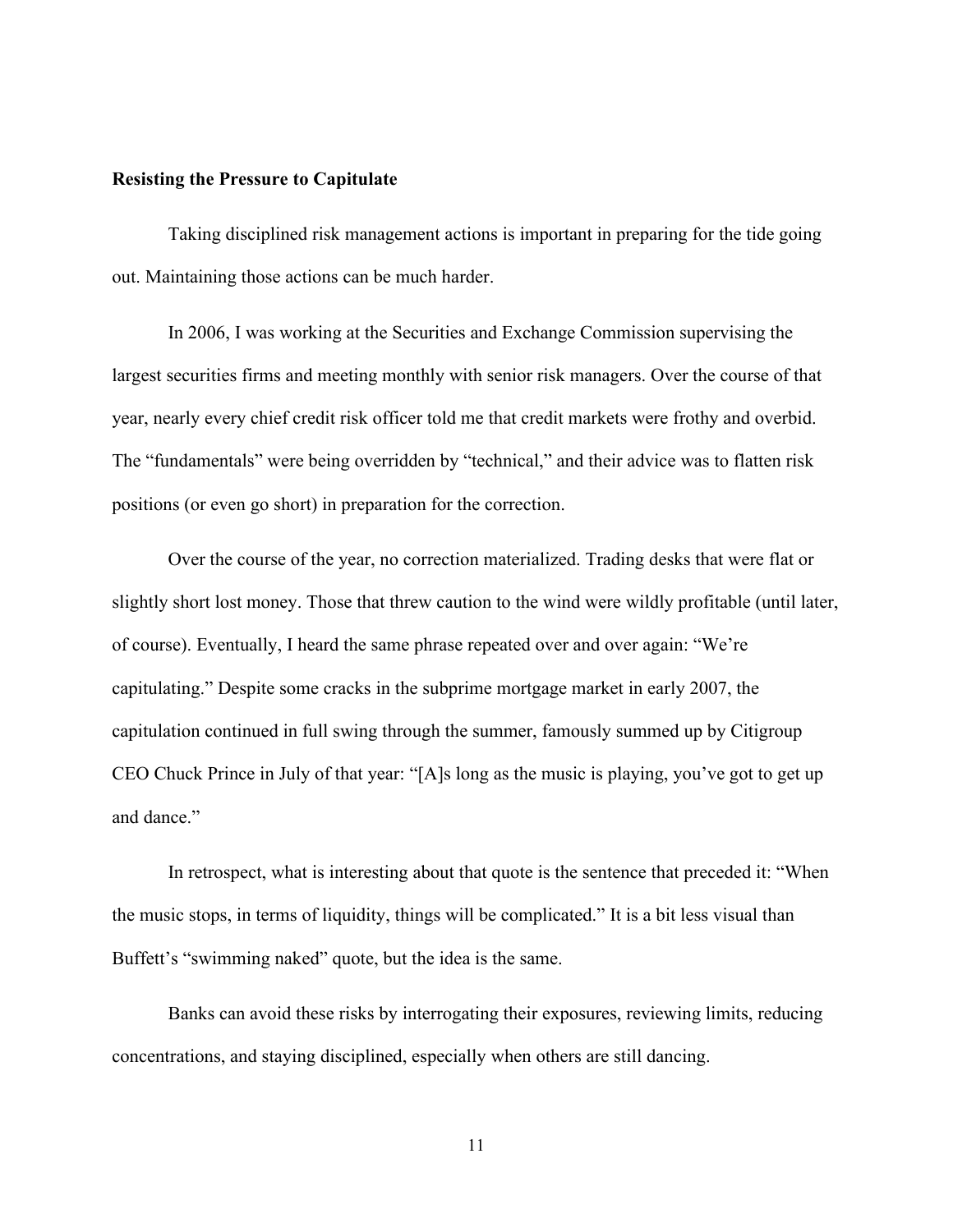## **Resisting the Pressure to Capitulate**

Taking disciplined risk management actions is important in preparing for the tide going out. Maintaining those actions can be much harder.

In 2006, I was working at the Securities and Exchange Commission supervising the largest securities firms and meeting monthly with senior risk managers. Over the course of that year, nearly every chief credit risk officer told me that credit markets were frothy and overbid. The "fundamentals" were being overridden by "technical," and their advice was to flatten risk positions (or even go short) in preparation for the correction.

Over the course of the year, no correction materialized. Trading desks that were flat or slightly short lost money. Those that threw caution to the wind were wildly profitable (until later, of course). Eventually, I heard the same phrase repeated over and over again: "We're capitulating." Despite some cracks in the subprime mortgage market in early 2007, the capitulation continued in full swing through the summer, famously summed up by Citigroup CEO Chuck Prince in July of that year: "[A]s long as the music is playing, you've got to get up and dance."

In retrospect, what is interesting about that quote is the sentence that preceded it: "When the music stops, in terms of liquidity, things will be complicated." It is a bit less visual than Buffett's "swimming naked" quote, but the idea is the same.

Banks can avoid these risks by interrogating their exposures, reviewing limits, reducing concentrations, and staying disciplined, especially when others are still dancing.

11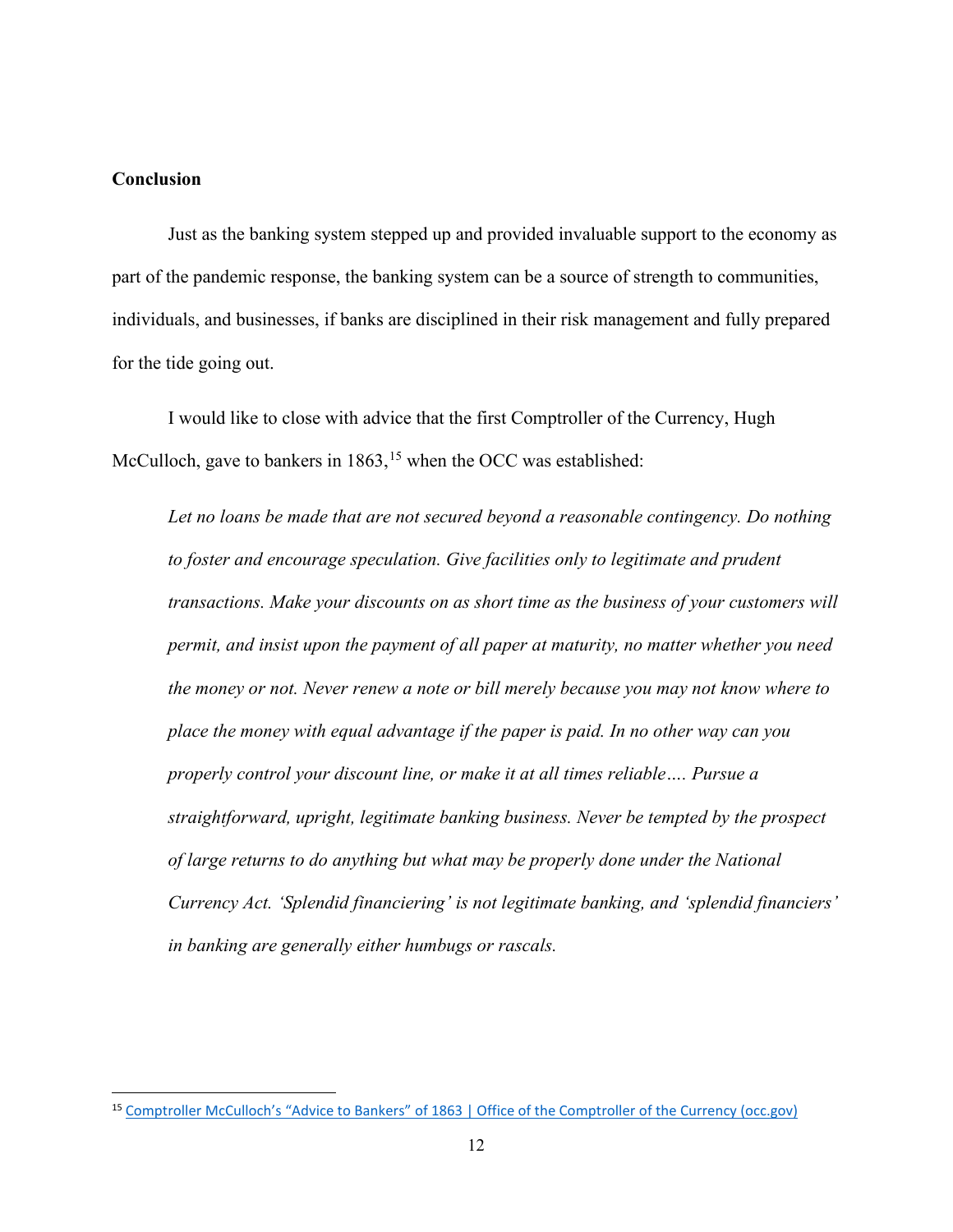# **Conclusion**

Just as the banking system stepped up and provided invaluable support to the economy as part of the pandemic response, the banking system can be a source of strength to communities, individuals, and businesses, if banks are disciplined in their risk management and fully prepared for the tide going out.

I would like to close with advice that the first Comptroller of the Currency, Hugh McCulloch, gave to bankers in  $1863$ ,<sup>[15](#page-11-0)</sup> when the OCC was established:

*Let no loans be made that are not secured beyond a reasonable contingency. Do nothing to foster and encourage speculation. Give facilities only to legitimate and prudent transactions. Make your discounts on as short time as the business of your customers will permit, and insist upon the payment of all paper at maturity, no matter whether you need the money or not. Never renew a note or bill merely because you may not know where to place the money with equal advantage if the paper is paid. In no other way can you properly control your discount line, or make it at all times reliable…. Pursue a straightforward, upright, legitimate banking business. Never be tempted by the prospect of large returns to do anything but what may be properly done under the National Currency Act. 'Splendid financiering' is not legitimate banking, and 'splendid financiers' in banking are generally either humbugs or rascals.*

<span id="page-11-0"></span><sup>15</sup> Comptroller McCulloch's "Advice to Bankers" [of 1863 | Office of the Comptroller of the Currency \(occ.gov\)](https://www.occ.gov/about/who-we-are/history/hugh-mcculloch-first-comptroller/comptroller-mccullochs-advice.pdf)